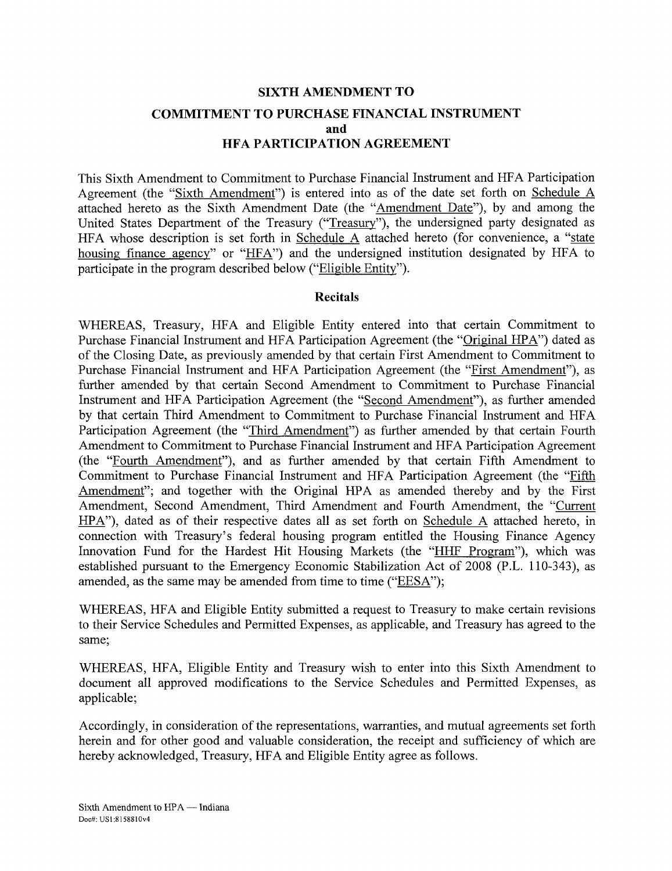## **SIXTH AMENDMENT TO COMMITMENT TO PURCHASE FINANCIAL INSTRUMENT and HFA PARTICIPATION AGREEMENT**

This Sixth Amendment to Commitment to Purchase Financial Instrument and HFA Participation Agreement (the "Sixth Amendment") is entered into as of the date set forth on Schedule A attached hereto as the Sixth Amendment Date (the "Amendment Date"), by and among the United States Department of the Treasury ("Treasury"), the undersigned party designated as HFA whose description is set forth in Schedule A attached hereto (for convenience, a "state housing finance agency" or "HFA") and the undersigned institution designated by HFA to participate in the program described below ("Eligible Entity").

#### **Recitals**

WHEREAS, Treasury, HFA and Eligible Entity entered into that certain Commitment to Purchase Financial Instrument and HFA Participation Agreement (the "Original HP A") dated as of the Closing Date, as previously amended by that certain First Amendment to Commitment to Purchase Financial Instrument and HFA Participation Agreement (the "First Amendment"), as further amended by that certain Second Amendment to Commitment to Purchase Financial Instrument and HFA Participation Agreement (the "Second Amendment"), as further amended by that certain Third Amendment to Commitment to Purchase Financial Instrument and HFA Participation Agreement (the "Third Amendment") as further amended by that certain Fourth Amendment to Commitment to Purchase Financial Instrument and HFA Participation Agreement (the "Fourth Amendment"), and as further amended by that certain Fifth Amendment to Commitment to Purchase Financial Instrument and HFA Participation Agreement (the "Fifth Amendment"; and together with the Original HPA as amended thereby and by the First Amendment, Second Amendment, Third Amendment and Fourth Amendment, the "Current HPA"), dated as of their respective dates all as set forth on Schedule A attached hereto, in connection with Treasury's federal housing program entitled the Housing Finance Agency Innovation Fund for the Hardest Hit Housing Markets (the "HHF Program"), which was established pursuant to the Emergency Economic Stabilization Act of 2008 (P.L. 110-343), as amended, as the same may be amended from time to time ("EESA");

WHEREAS, HFA and Eligible Entity submitted a request to Treasury to make certain revisions to their Service Schedules and Permitted Expenses, as applicable, and Treasury has agreed to the same;

WHEREAS, HFA, Eligible Entity and Treasury wish to enter into this Sixth Amendment to document all approved modifications to the Service Schedules and Permitted Expenses, as applicable;

Accordingly, in consideration of the representations, warranties, and mutual agreements set forth herein and for other good and valuable consideration, the receipt and sufficiency of which are hereby acknowledged, Treasury, HFA and Eligible Entity agree as follows.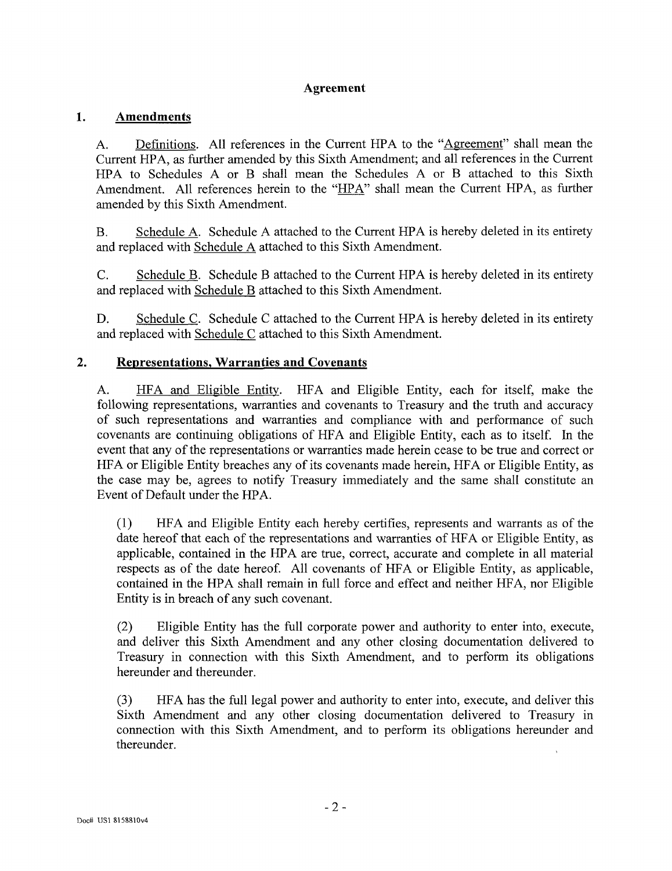#### **Agreement**

#### 1. **Amendments**

A. Definitions. All references in the Current HPA to the "Agreement" shall mean the Current HPA, as further amended by this Sixth Amendment; and all references in the Current HPA to Schedules A or B shall mean the Schedules A or B attached to this Sixth Amendment. All references herein to the "HPA" shall mean the Current HPA, as further amended by this Sixth Amendment.

B. Schedule A. Schedule A attached to the Current HPA is hereby deleted in its entirety and replaced with Schedule A attached to this Sixth Amendment.

C. Schedule B. Schedule B attached to the Current HPA is hereby deleted in its entirety and replaced with Schedule B attached to this Sixth Amendment.

D. Schedule C. Schedule C attached to the Current HPA is hereby deleted in its entirety and replaced with Schedule C attached to this Sixth Amendment.

#### $2.$ **Representations, Warranties and Covenants**

A. HFA and Eligible Entity. HFA and Eligible Entity, each for itself, make the following representations, warranties and covenants to Treasury and the truth and accuracy of such representations and warranties and compliance with and performance of such covenants are continuing obligations of HFA and Eligible Entity, each as to itself. In the event that any of the representations or warranties made herein cease to be true and correct or HFA or Eligible Entity breaches any of its covenants made herein, HFA or Eligible Entity, as the case may be, agrees to notify Treasury immediately and the same shall constitute an Event of Default under the HPA.

(1) HFA and Eligible Entity each hereby certifies, represents and warrants as of the date hereof that each of the representations and warranties of HFA or Eligible Entity, as applicable, contained in the HPA are true, correct, accurate and complete in all material respects as of the date hereof. All covenants of HFA or Eligible Entity, as applicable, contained in the HPA shall remain in full force and effect and neither HFA, nor Eligible Entity is in breach of any such covenant.

(2) Eligible Entity has the full corporate power and authority to enter into, execute, and deliver this Sixth Amendment and any other closing documentation delivered to Treasury in connection with this Sixth Amendment, and to perform its obligations hereunder and thereunder.

(3) HFA has the full legal power and authority to enter into, execute, and deliver this Sixth Amendment and any other closing documentation delivered to Treasury in connection with this Sixth Amendment, and to perform its obligations hereunder and thereunder.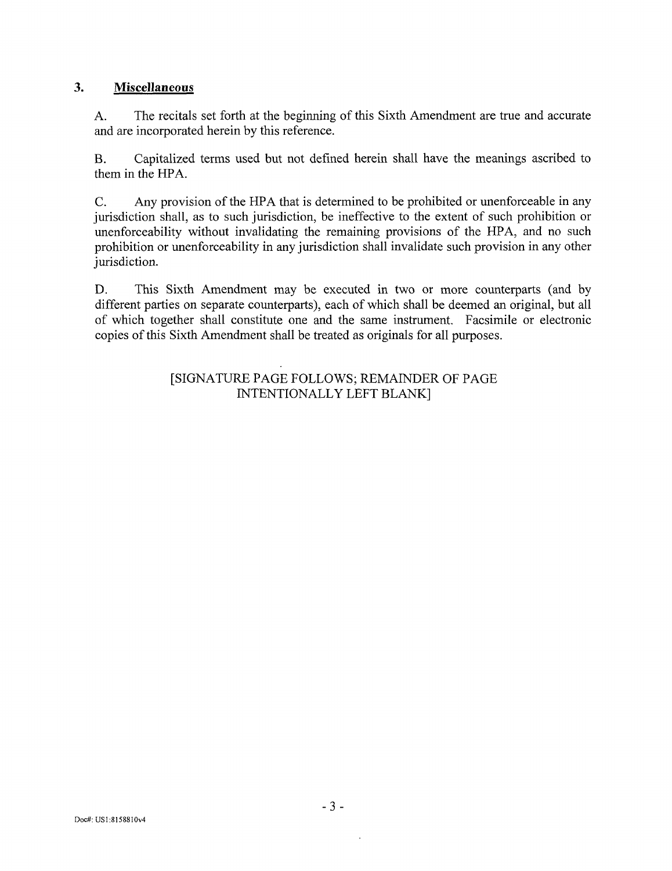#### $3<sub>1</sub>$ **Miscellaneous**

A. The recitals set forth at the beginning of this Sixth Amendment are true and accurate and are incorporated herein by this reference.

B. Capitalized terms used but not defined herein shall have the meanings ascribed to them in the HPA.

C. Any provision of the HPA that is determined to be prohibited or unenforceable in any jurisdiction shall, as to such jurisdiction, be ineffective to the extent of such prohibition or unenforceability without invalidating the remaining provisions of the HPA, and no such prohibition or unenforceability in any jurisdiction shall invalidate such provision in any other jurisdiction.

D. This Sixth Amendment may be executed in two or more counterparts (and by different parties on separate counterparts), each of which shall be deemed an original, but all of which together shall constitute one and the same instrument. Facsimile or electronic copies of this Sixth Amendment shall be treated as originals for all purposes.

#### [SIGNATURE PAGE FOLLOWS; REMAINDER OF PAGE INTENTIONALLY LEFT BLANK]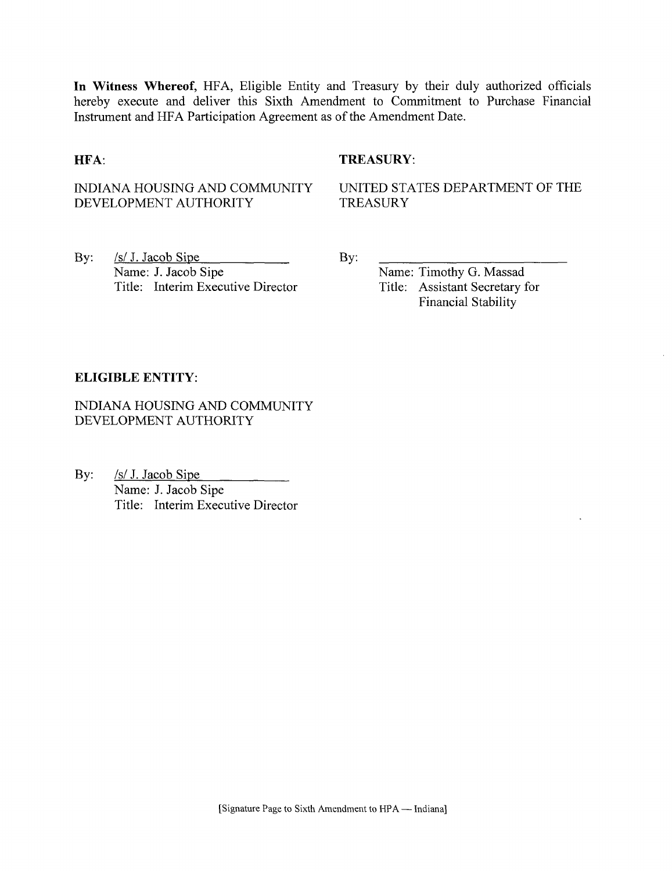**In Witness Whereof,** HFA, Eligible Entity and Treasury by their duly authorized officials hereby execute and deliver this Sixth Amendment to Commitment to Purchase Financial Instrument and HFA Participation Agreement as of the Amendment Date.

#### **HFA:** TREASURY:

# DEVELOPMENT AUTHORITY

INDIANA HOUSING AND COMMUNITY UNITED STATES DEPARTMENT OF THE DEVELOPMENT AUTHORITY TREASURY

By:  $\frac{|S|}{|S|}$  J. Jacob Sipe By: Name: J. Jacob Sipe<br>
Title: Interim Executive Director<br>
Title: Assistant Secretary for Title: Interim Executive Director

Financial Stability

#### **ELIGIBLE ENTITY:**

INDIANA HOUSING AND COMMUNITY DEVELOPMENT AUTHORITY

By: <u>/s/ J. Jacob Sipe</u> Name: J. Jacob Sipe Title: Interim Executive Director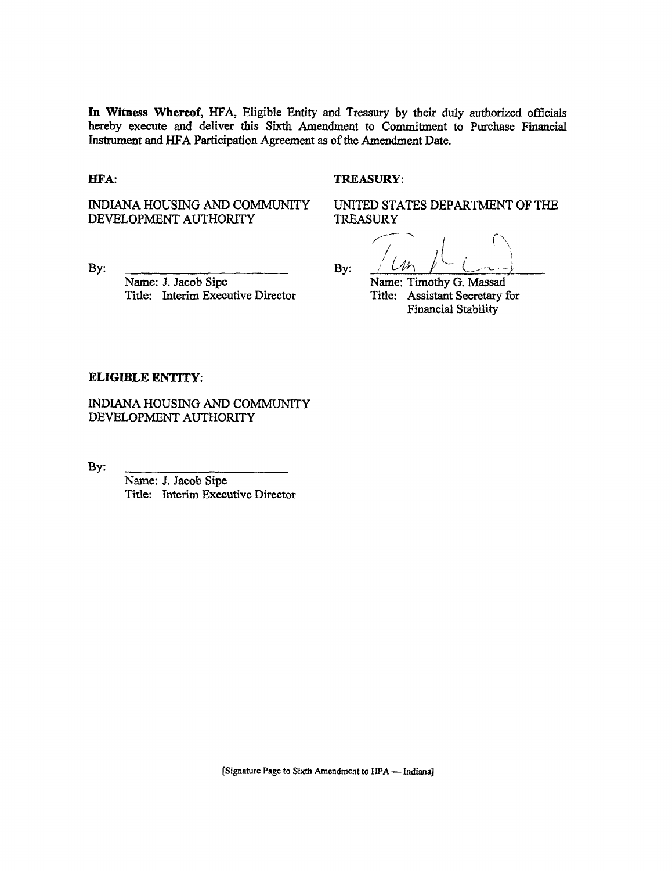**In Witness Whereof,** HFA, Eligible Entity and Treasury by their duly authorized officials hereby execute and deliver this Sixth Amendment to Commitment to Purchase Financial Instrument and HFA Participation Agreement as of the Amendment Date.

#### **HFA:** TREASURY:

DEVELOPMENT AUTHORITY

Name: J. Jacob Sipe Name: Timothy G. Massad<br>Title: Interim Executive Director Title: Assistant Secretary for Title: Interim Executive Director

INDIANA HOUSING AND COMMUNITY UNITED STATES DEPARTMENT OF THE

By: <u>By:</u> By:  $/M_1$  /  $CM_2$ 

Financial Stability

#### **ELIGIBLE ENTITY:**

INDIANA HOUSING AND COMMUNITY DEVELOPMENT AUTHORITY

By:

Name: J. Jacob Sipe Title: Interim Executive Director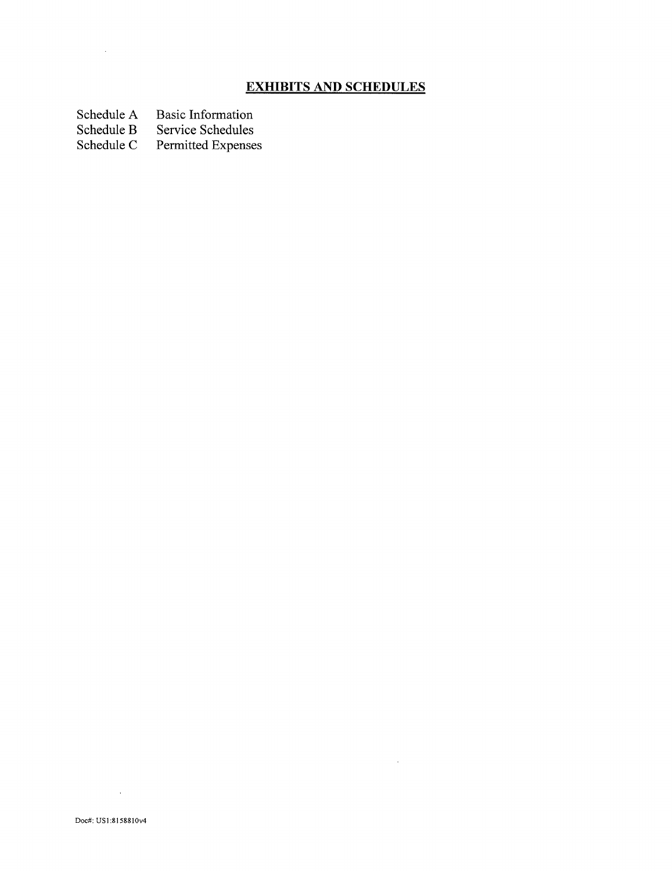### **EXHIBITS AND SCHEDULES**

 $\label{eq:2.1} \mathcal{L}(\mathcal{L}^{\text{max}}_{\mathcal{L}}(\mathcal{L}^{\text{max}}_{\mathcal{L}}),\mathcal{L}^{\text{max}}_{\mathcal{L}}(\mathcal{L}^{\text{max}}_{\mathcal{L}}))$ 

Schedule A Basic Information<br>Schedule B Service Schedules

 $\sim 10^7$ 

Schedule B Service Schedules<br>Schedule C Permitted Expense Permitted Expenses

 $\mathcal{L}^{\text{max}}_{\text{max}}$  , where  $\mathcal{L}^{\text{max}}_{\text{max}}$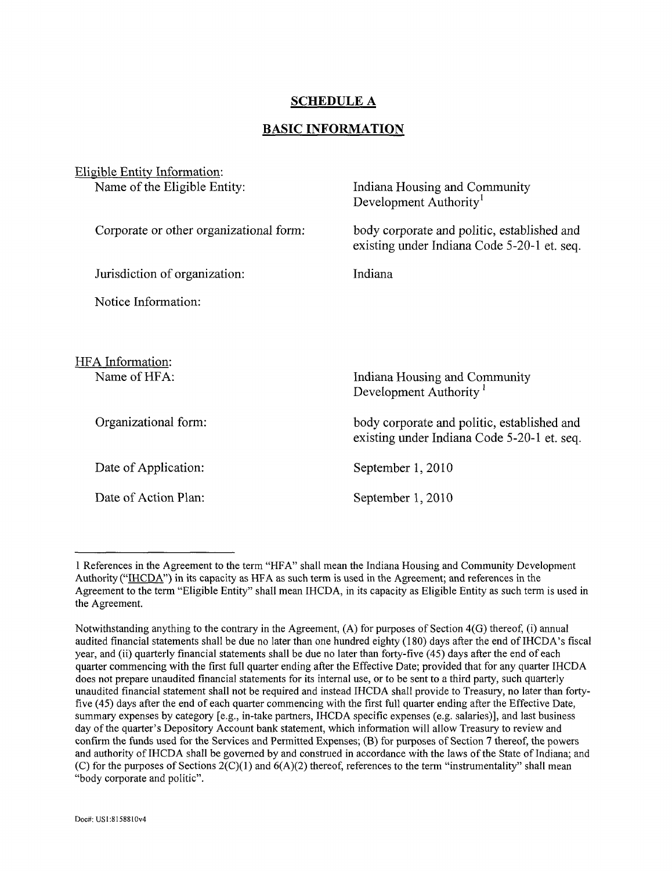#### **SCHEDULE A**

#### **BASIC INFORMATION**

| Eligible Entity Information:            |                                                                                            |
|-----------------------------------------|--------------------------------------------------------------------------------------------|
| Name of the Eligible Entity:            | Indiana Housing and Community<br>Development Authority <sup>1</sup>                        |
| Corporate or other organizational form: | body corporate and politic, established and<br>existing under Indiana Code 5-20-1 et. seq. |
| Jurisdiction of organization:           | Indiana                                                                                    |
| Notice Information:                     |                                                                                            |
|                                         |                                                                                            |
| HFA Information:                        |                                                                                            |
| Name of HFA:                            | Indiana Housing and Community<br>Development Authority <sup>1</sup>                        |
| Organizational form:                    | body corporate and politic, established and<br>existing under Indiana Code 5-20-1 et. seq. |
| Date of Application:                    | September 1, 2010                                                                          |
| Date of Action Plan:                    | September 1, 2010                                                                          |

<sup>1</sup> References in the Agreement to the term "HFA" shall mean the Indiana Housing and Community Development Authority ("IHCDA") in its capacity as HFA as such term is used in the Agreement; and references in the Agreement to the term "Eligible Entity" shall mean IHCDA, in its capacity as Eligible Entity as such term is used in the Agreement.

Notwithstanding anything to the contrary in the Agreement, (A) for purposes of Section 4(G) thereof, (i) annual audited financial statements shall be due no later than one hundred eighty (180) days after the end of IHCDA's fiscal year, and (ii) quarterly financial statements shall be due no later than forty-five (45) days after the end of each quarter commencing with the first full quarter ending after the Effective Date; provided that for any quarter IHCDA does not prepare unaudited financial statements for its internal use, or to be sent to a third party, such quarterly unaudited financial statement shall not be required and instead IHCDA shall provide to Treasury, no later than fortyfive (45) days after the end of each quarter commencing with the first full quarter ending after the Effective Date, summary expenses by category [e.g., in-take partners, IHCDA specific expenses (e.g. salaries)], and last business day of the quarter's Depository Account bank statement, which information will allow Treasury to review and confirm the funds used for the Services and Permitted Expenses; (B) for purposes of Section 7 thereof, the powers and authority of IHCDA shall be governed by and construed in accordance with the laws of the State of Indiana; and (C) for the purposes of Sections  $2(C)(1)$  and  $6(A)(2)$  thereof, references to the term "instrumentality" shall mean "body corporate and politic".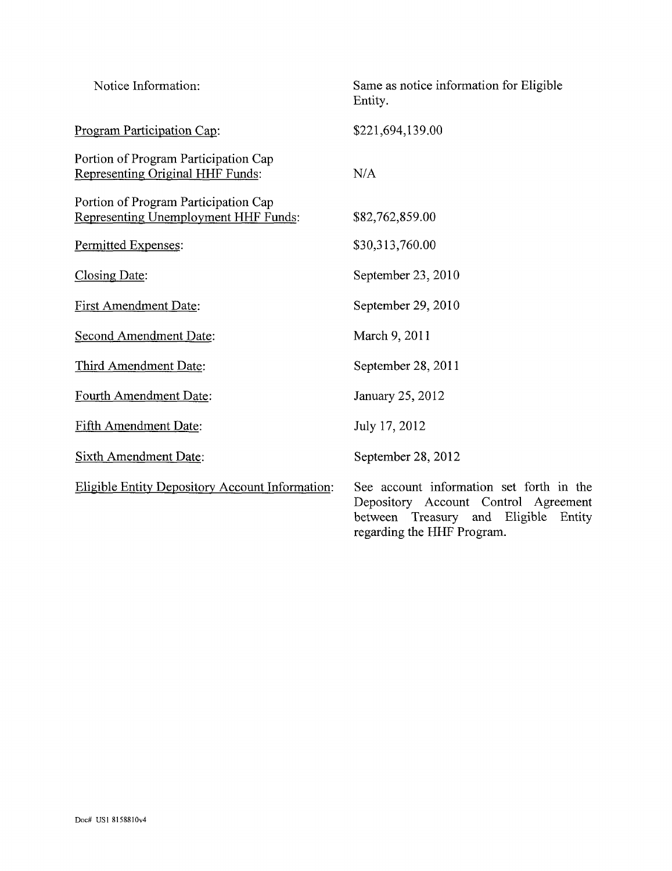| Notice Information:                                                          | Same as notice information for Eligible<br>Entity.                                                                                                     |
|------------------------------------------------------------------------------|--------------------------------------------------------------------------------------------------------------------------------------------------------|
| Program Participation Cap:                                                   | \$221,694,139.00                                                                                                                                       |
| Portion of Program Participation Cap<br>Representing Original HHF Funds:     | N/A                                                                                                                                                    |
| Portion of Program Participation Cap<br>Representing Unemployment HHF Funds: | \$82,762,859.00                                                                                                                                        |
| Permitted Expenses:                                                          | \$30,313,760.00                                                                                                                                        |
| Closing Date:                                                                | September 23, 2010                                                                                                                                     |
| <b>First Amendment Date:</b>                                                 | September 29, 2010                                                                                                                                     |
| Second Amendment Date:                                                       | March 9, 2011                                                                                                                                          |
| Third Amendment Date:                                                        | September 28, 2011                                                                                                                                     |
| Fourth Amendment Date:                                                       | January 25, 2012                                                                                                                                       |
| Fifth Amendment Date:                                                        | July 17, 2012                                                                                                                                          |
| <b>Sixth Amendment Date:</b>                                                 | September 28, 2012                                                                                                                                     |
| Eligible Entity Depository Account Information:                              | See account information set forth in the<br>Depository Account Control Agreement<br>between Treasury and Eligible Entity<br>regarding the HHF Program. |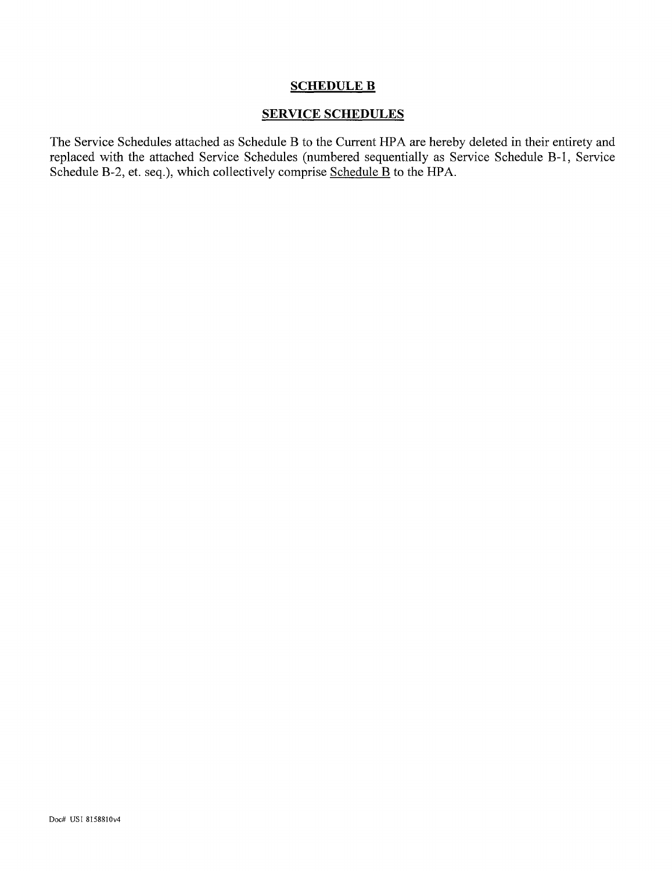#### **SCHEDULE B**

#### **SERVICE SCHEDULES**

The Service Schedules attached as Schedule B to the Current HPA are hereby deleted in their entirety and replaced with the attached Service Schedules (numbered sequentially as Service Schedule B-l, Service Schedule B-2, et. seq.), which collectively comprise Schedule B to the HPA.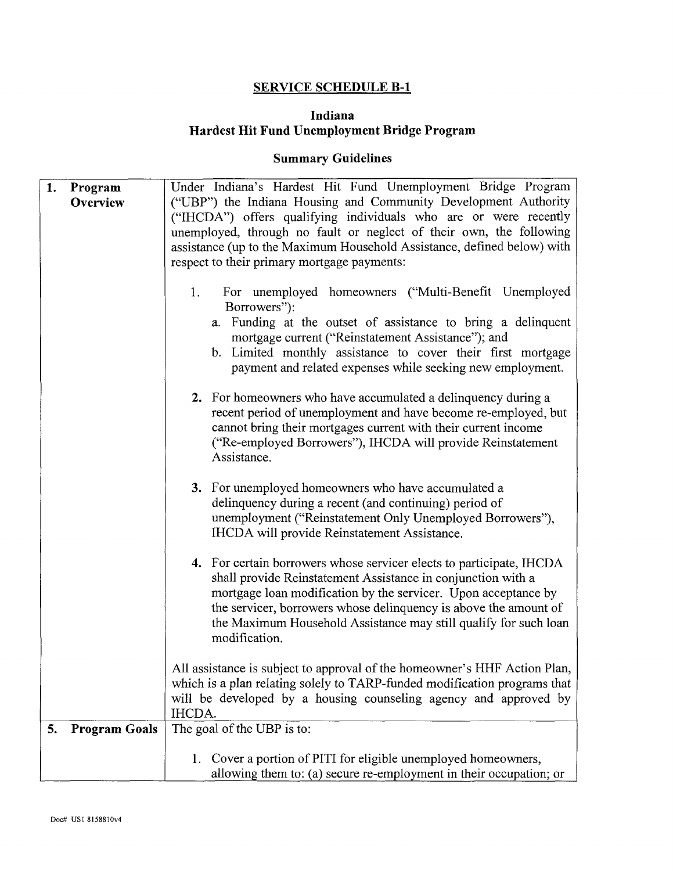#### **SERVICE SCHEDULE B-l**

#### **Indiana Hardest Hit Fund Unemployment Bridge Program**

# **Summary Guidelines**

| 1. | Program              | Under Indiana's Hardest Hit Fund Unemployment Bridge Program                                                                                                                                                                                                                                                                                                    |  |
|----|----------------------|-----------------------------------------------------------------------------------------------------------------------------------------------------------------------------------------------------------------------------------------------------------------------------------------------------------------------------------------------------------------|--|
|    | Overview             | ("UBP") the Indiana Housing and Community Development Authority                                                                                                                                                                                                                                                                                                 |  |
|    |                      | ("IHCDA") offers qualifying individuals who are or were recently                                                                                                                                                                                                                                                                                                |  |
|    |                      | unemployed, through no fault or neglect of their own, the following                                                                                                                                                                                                                                                                                             |  |
|    |                      | assistance (up to the Maximum Household Assistance, defined below) with                                                                                                                                                                                                                                                                                         |  |
|    |                      | respect to their primary mortgage payments:                                                                                                                                                                                                                                                                                                                     |  |
|    |                      |                                                                                                                                                                                                                                                                                                                                                                 |  |
|    |                      | For unemployed homeowners ("Multi-Benefit Unemployed<br>1.<br>Borrowers"):<br>a. Funding at the outset of assistance to bring a delinquent<br>mortgage current ("Reinstatement Assistance"); and<br>b. Limited monthly assistance to cover their first mortgage                                                                                                 |  |
|    |                      | payment and related expenses while seeking new employment.                                                                                                                                                                                                                                                                                                      |  |
|    |                      | 2. For homeowners who have accumulated a delinquency during a<br>recent period of unemployment and have become re-employed, but<br>cannot bring their mortgages current with their current income<br>("Re-employed Borrowers"), IHCDA will provide Reinstatement<br>Assistance.                                                                                 |  |
|    |                      | 3. For unemployed homeowners who have accumulated a<br>delinquency during a recent (and continuing) period of<br>unemployment ("Reinstatement Only Unemployed Borrowers"),<br>IHCDA will provide Reinstatement Assistance.                                                                                                                                      |  |
|    |                      | 4. For certain borrowers whose servicer elects to participate, IHCDA<br>shall provide Reinstatement Assistance in conjunction with a<br>mortgage loan modification by the servicer. Upon acceptance by<br>the servicer, borrowers whose delinquency is above the amount of<br>the Maximum Household Assistance may still qualify for such loan<br>modification. |  |
|    |                      | All assistance is subject to approval of the homeowner's HHF Action Plan,<br>which is a plan relating solely to TARP-funded modification programs that<br>will be developed by a housing counseling agency and approved by<br>IHCDA.                                                                                                                            |  |
| 5. | <b>Program Goals</b> | The goal of the UBP is to:                                                                                                                                                                                                                                                                                                                                      |  |
|    |                      | 1. Cover a portion of PITI for eligible unemployed homeowners,<br>allowing them to: (a) secure re-employment in their occupation; or                                                                                                                                                                                                                            |  |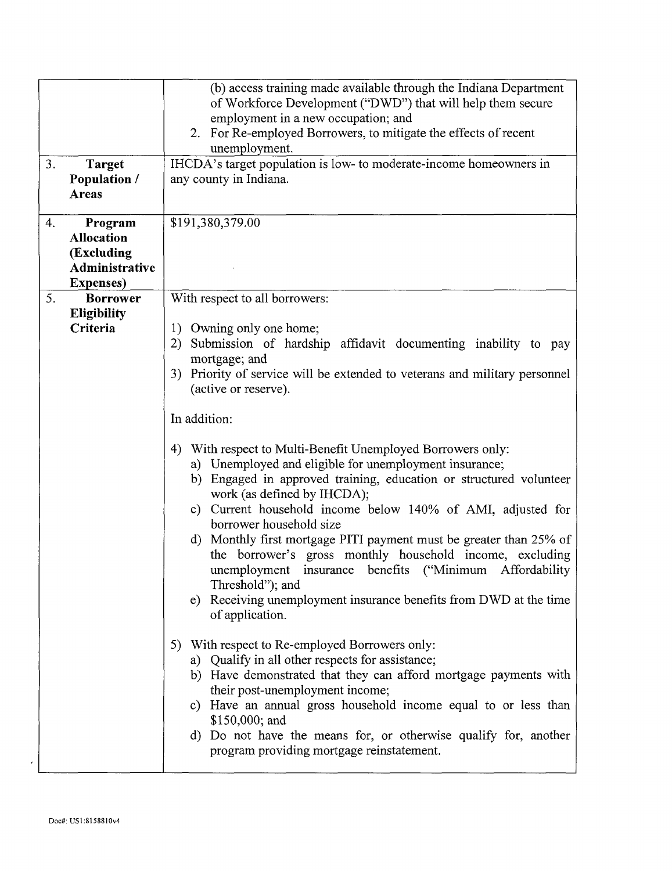| 3.<br><b>Target</b><br><b>Population /</b><br>Areas                                     | (b) access training made available through the Indiana Department<br>of Workforce Development ("DWD") that will help them secure<br>employment in a new occupation; and<br>2. For Re-employed Borrowers, to mitigate the effects of recent<br>unemployment.<br>IHCDA's target population is low- to moderate-income homeowners in<br>any county in Indiana.                                                                                                                                                                                                                                                                                                                                                                                                                                                                                                                                                                                                                                                                                                                                                                                                                                                                                                                                                                               |  |
|-----------------------------------------------------------------------------------------|-------------------------------------------------------------------------------------------------------------------------------------------------------------------------------------------------------------------------------------------------------------------------------------------------------------------------------------------------------------------------------------------------------------------------------------------------------------------------------------------------------------------------------------------------------------------------------------------------------------------------------------------------------------------------------------------------------------------------------------------------------------------------------------------------------------------------------------------------------------------------------------------------------------------------------------------------------------------------------------------------------------------------------------------------------------------------------------------------------------------------------------------------------------------------------------------------------------------------------------------------------------------------------------------------------------------------------------------|--|
| Program<br>4.<br><b>Allocation</b><br>(Excluding<br>Administrative<br><b>Expenses</b> ) | \$191,380,379.00                                                                                                                                                                                                                                                                                                                                                                                                                                                                                                                                                                                                                                                                                                                                                                                                                                                                                                                                                                                                                                                                                                                                                                                                                                                                                                                          |  |
| 5.<br><b>Borrower</b><br><b>Eligibility</b><br>Criteria                                 | With respect to all borrowers:<br>1) Owning only one home;<br>2) Submission of hardship affidavit documenting inability to pay<br>mortgage; and<br>3) Priority of service will be extended to veterans and military personnel<br>(active or reserve).<br>In addition:<br>With respect to Multi-Benefit Unemployed Borrowers only:<br>4)<br>a) Unemployed and eligible for unemployment insurance;<br>Engaged in approved training, education or structured volunteer<br>b)<br>work (as defined by IHCDA);<br>Current household income below 140% of AMI, adjusted for<br>c)<br>borrower household size<br>d) Monthly first mortgage PITI payment must be greater than 25% of<br>the borrower's gross monthly household income, excluding<br>unemployment insurance benefits ("Minimum Affordability<br>Threshold"); and<br>Receiving unemployment insurance benefits from DWD at the time<br>e)<br>of application.<br>5) With respect to Re-employed Borrowers only:<br>Qualify in all other respects for assistance;<br>a)<br>Have demonstrated that they can afford mortgage payments with<br>b)<br>their post-unemployment income;<br>c) Have an annual gross household income equal to or less than<br>\$150,000; and<br>d) Do not have the means for, or otherwise qualify for, another<br>program providing mortgage reinstatement. |  |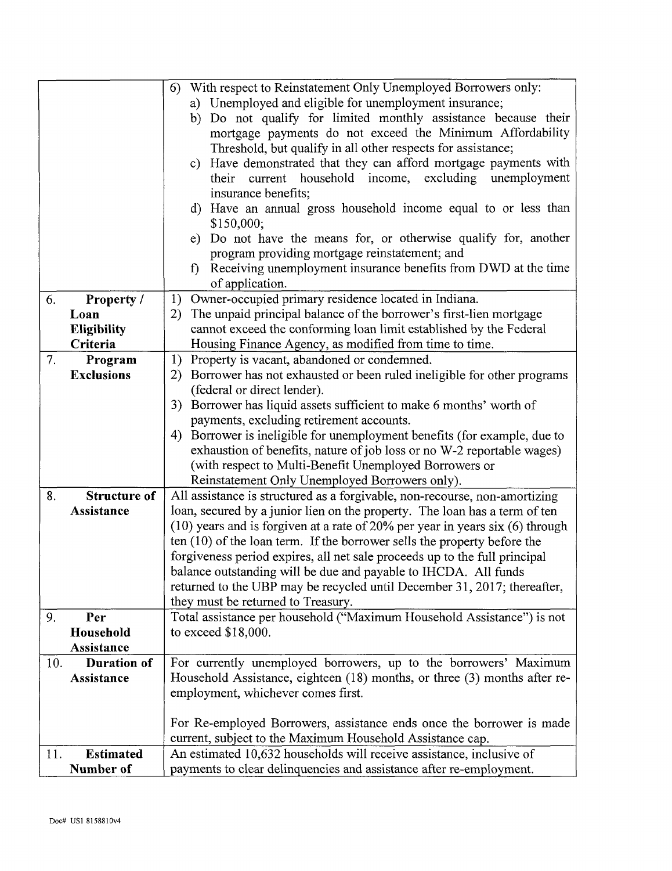|     |                     | With respect to Reinstatement Only Unemployed Borrowers only:<br>6)               |  |
|-----|---------------------|-----------------------------------------------------------------------------------|--|
|     |                     | a) Unemployed and eligible for unemployment insurance;                            |  |
|     |                     | b) Do not qualify for limited monthly assistance because their                    |  |
|     |                     | mortgage payments do not exceed the Minimum Affordability                         |  |
|     |                     | Threshold, but qualify in all other respects for assistance;                      |  |
|     |                     | Have demonstrated that they can afford mortgage payments with<br>$\mathbf{c}$ )   |  |
|     |                     | their current household income, excluding<br>unemployment                         |  |
|     |                     | insurance benefits;                                                               |  |
|     |                     | d) Have an annual gross household income equal to or less than                    |  |
|     |                     | \$150,000;                                                                        |  |
|     |                     | e) Do not have the means for, or otherwise qualify for, another                   |  |
|     |                     | program providing mortgage reinstatement; and                                     |  |
|     |                     | Receiving unemployment insurance benefits from DWD at the time<br>$\mathbf{f}$    |  |
|     |                     | of application.                                                                   |  |
| 6.  | Property /          | 1) Owner-occupied primary residence located in Indiana.                           |  |
|     | Loan                | 2) The unpaid principal balance of the borrower's first-lien mortgage             |  |
|     | <b>Eligibility</b>  | cannot exceed the conforming loan limit established by the Federal                |  |
|     | Criteria            | Housing Finance Agency, as modified from time to time.                            |  |
| 7.  | Program             | Property is vacant, abandoned or condemned.<br>1)                                 |  |
|     | <b>Exclusions</b>   | Borrower has not exhausted or been ruled ineligible for other programs<br>2)      |  |
|     |                     | (federal or direct lender).                                                       |  |
|     |                     | 3) Borrower has liquid assets sufficient to make 6 months' worth of               |  |
|     |                     | payments, excluding retirement accounts.                                          |  |
|     |                     | Borrower is ineligible for unemployment benefits (for example, due to<br>4)       |  |
|     |                     | exhaustion of benefits, nature of job loss or no W-2 reportable wages)            |  |
|     |                     | (with respect to Multi-Benefit Unemployed Borrowers or                            |  |
|     |                     | Reinstatement Only Unemployed Borrowers only).                                    |  |
| 8.  | <b>Structure of</b> | All assistance is structured as a forgivable, non-recourse, non-amortizing        |  |
|     | Assistance          | loan, secured by a junior lien on the property. The loan has a term of ten        |  |
|     |                     | $(10)$ years and is forgiven at a rate of 20% per year in years six $(6)$ through |  |
|     |                     | ten $(10)$ of the loan term. If the borrower sells the property before the        |  |
|     |                     | forgiveness period expires, all net sale proceeds up to the full principal        |  |
|     |                     | balance outstanding will be due and payable to IHCDA. All funds                   |  |
|     |                     | returned to the UBP may be recycled until December 31, 2017; thereafter,          |  |
|     |                     | they must be returned to Treasury.                                                |  |
| 9.  | Per                 | Total assistance per household ("Maximum Household Assistance") is not            |  |
|     | Household           | to exceed $$18,000$ .                                                             |  |
|     | Assistance          |                                                                                   |  |
| 10. | <b>Duration of</b>  | For currently unemployed borrowers, up to the borrowers' Maximum                  |  |
|     | Assistance          | Household Assistance, eighteen (18) months, or three (3) months after re-         |  |
|     |                     | employment, whichever comes first.                                                |  |
|     |                     |                                                                                   |  |
|     |                     | For Re-employed Borrowers, assistance ends once the borrower is made              |  |
|     |                     | current, subject to the Maximum Household Assistance cap.                         |  |
| 11. | <b>Estimated</b>    | An estimated 10,632 households will receive assistance, inclusive of              |  |
|     | Number of           | payments to clear delinquencies and assistance after re-employment.               |  |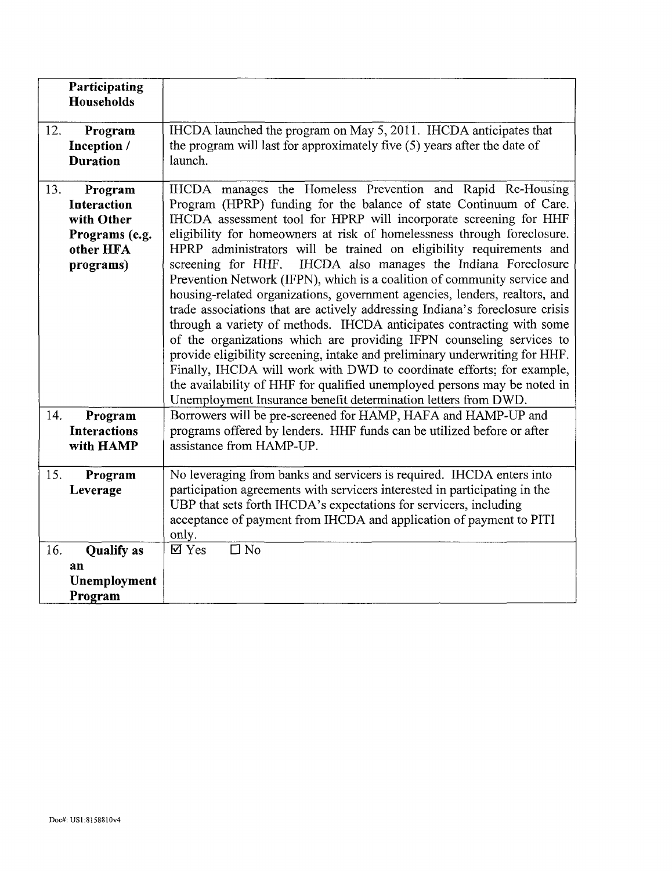|     | Participating<br>Households                                                             |                                                                                                                                                                                                                                                                                                                                                                                                                                                                                                                                                                                                                                                                                                                                                                                                                                                                                                                                                                                                                                                                                                                              |
|-----|-----------------------------------------------------------------------------------------|------------------------------------------------------------------------------------------------------------------------------------------------------------------------------------------------------------------------------------------------------------------------------------------------------------------------------------------------------------------------------------------------------------------------------------------------------------------------------------------------------------------------------------------------------------------------------------------------------------------------------------------------------------------------------------------------------------------------------------------------------------------------------------------------------------------------------------------------------------------------------------------------------------------------------------------------------------------------------------------------------------------------------------------------------------------------------------------------------------------------------|
| 12. | Program<br>Inception /<br><b>Duration</b>                                               | IHCDA launched the program on May 5, 2011. IHCDA anticipates that<br>the program will last for approximately five (5) years after the date of<br>launch.                                                                                                                                                                                                                                                                                                                                                                                                                                                                                                                                                                                                                                                                                                                                                                                                                                                                                                                                                                     |
| 13. | Program<br><b>Interaction</b><br>with Other<br>Programs (e.g.<br>other HFA<br>programs) | IHCDA manages the Homeless Prevention and Rapid Re-Housing<br>Program (HPRP) funding for the balance of state Continuum of Care.<br>IHCDA assessment tool for HPRP will incorporate screening for HHF<br>eligibility for homeowners at risk of homelessness through foreclosure.<br>HPRP administrators will be trained on eligibility requirements and<br>IHCDA also manages the Indiana Foreclosure<br>screening for HHF.<br>Prevention Network (IFPN), which is a coalition of community service and<br>housing-related organizations, government agencies, lenders, realtors, and<br>trade associations that are actively addressing Indiana's foreclosure crisis<br>through a variety of methods. IHCDA anticipates contracting with some<br>of the organizations which are providing IFPN counseling services to<br>provide eligibility screening, intake and preliminary underwriting for HHF.<br>Finally, IHCDA will work with DWD to coordinate efforts; for example,<br>the availability of HHF for qualified unemployed persons may be noted in<br>Unemployment Insurance benefit determination letters from DWD. |
| 14. | Program<br><b>Interactions</b><br>with HAMP                                             | Borrowers will be pre-screened for HAMP, HAFA and HAMP-UP and<br>programs offered by lenders. HHF funds can be utilized before or after<br>assistance from HAMP-UP.                                                                                                                                                                                                                                                                                                                                                                                                                                                                                                                                                                                                                                                                                                                                                                                                                                                                                                                                                          |
| 15. | Program<br>Leverage                                                                     | No leveraging from banks and servicers is required. IHCDA enters into<br>participation agreements with servicers interested in participating in the<br>UBP that sets forth IHCDA's expectations for servicers, including<br>acceptance of payment from IHCDA and application of payment to PITI<br>only.                                                                                                                                                                                                                                                                                                                                                                                                                                                                                                                                                                                                                                                                                                                                                                                                                     |
| 16. | <b>Qualify</b> as<br>an<br>Unemployment<br>Program                                      | $\Box$ No<br>$\boxtimes$ Yes                                                                                                                                                                                                                                                                                                                                                                                                                                                                                                                                                                                                                                                                                                                                                                                                                                                                                                                                                                                                                                                                                                 |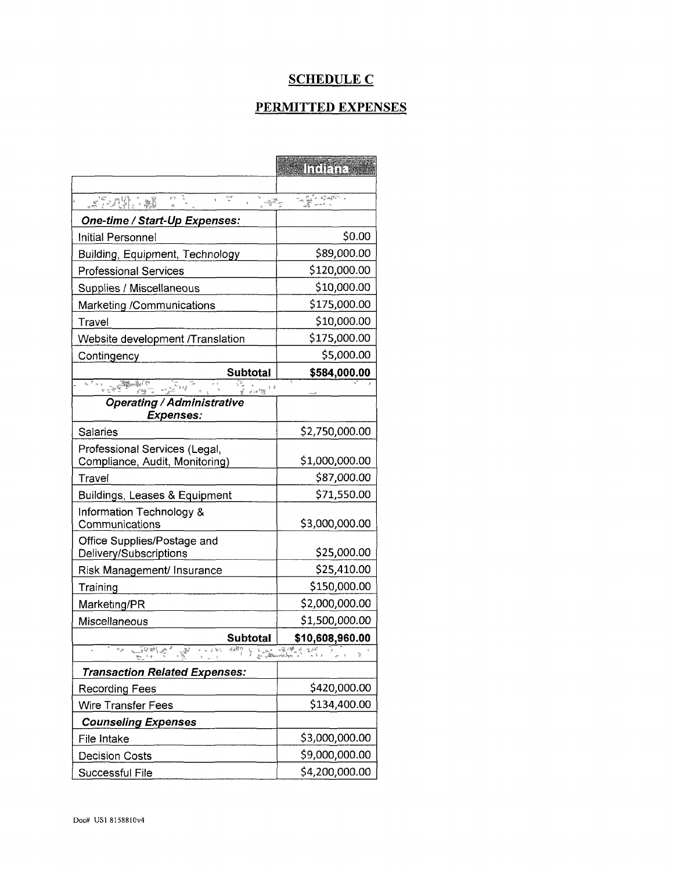# **SCHEDULE C**

## PERMITTED EXPENSES

|                                                                                                          | <b>ITTERETTEE</b>                                   |
|----------------------------------------------------------------------------------------------------------|-----------------------------------------------------|
| $\psi$ š<br>rn de<br>$\mathbb{R}^n$ , $\mathbb{C}^n$ , $\mathbb{R}^n$<br>ູ້⊸ັ                            | LE PART                                             |
| One-time / Start-Up Expenses:                                                                            |                                                     |
| Initial Personnel                                                                                        | \$0.00                                              |
|                                                                                                          | \$89,000.00                                         |
| <b>Building, Equipment, Technology</b><br><b>Professional Services</b>                                   | \$120,000.00                                        |
| Supplies / Miscellaneous                                                                                 | \$10,000.00                                         |
|                                                                                                          | \$175,000.00                                        |
| Marketing /Communications                                                                                |                                                     |
| Travel                                                                                                   | \$10,000.00                                         |
| Website development /Translation                                                                         | \$175,000.00                                        |
| Contingency                                                                                              | \$5,000.00                                          |
| <b>Subtotal</b><br>$\frac{\sqrt{\kappa}}{\kappa^2\sqrt{2}}$ is $k\frac{d}{2}$                            | \$584,000.00                                        |
| $\frac{1}{\left  \mathcal{S} \right  + \left  \mathcal{S} \right }$<br><b>Operating / Administrative</b> |                                                     |
| <b>Expenses:</b>                                                                                         |                                                     |
| Salaries                                                                                                 | \$2,750,000.00                                      |
| Professional Services (Legal,                                                                            |                                                     |
| Compliance, Audit, Monitoring)                                                                           | \$1,000,000.00                                      |
| Travel                                                                                                   | \$87,000.00                                         |
| Buildings, Leases & Equipment                                                                            | \$71,550.00                                         |
| Information Technology &<br>Communications                                                               | \$3,000,000.00                                      |
| Office Supplies/Postage and<br>Delivery/Subscriptions                                                    | \$25,000.00                                         |
| Risk Management/ Insurance                                                                               | \$25,410.00                                         |
| Training                                                                                                 | \$150,000.00                                        |
| Marketing/PR                                                                                             | \$2,000,000.00                                      |
| Miscellaneous                                                                                            | \$1,500,000.00                                      |
| <b>Subtotal</b>                                                                                          | \$10,608,960.00                                     |
| T PS ARALL                                                                                               | اس کاپا از پایاند<br>- از سوالیانا استفادهای<br>실 구 |
| <b>Transaction Related Expenses:</b>                                                                     |                                                     |
| <b>Recording Fees</b>                                                                                    | \$420,000.00                                        |
| <b>Wire Transfer Fees</b>                                                                                | \$134,400.00                                        |
| <b>Counseling Expenses</b>                                                                               |                                                     |
| File Intake                                                                                              | \$3,000,000.00                                      |
| <b>Decision Costs</b>                                                                                    | \$9,000,000.00                                      |
| Successful File                                                                                          | \$4,200,000.00                                      |